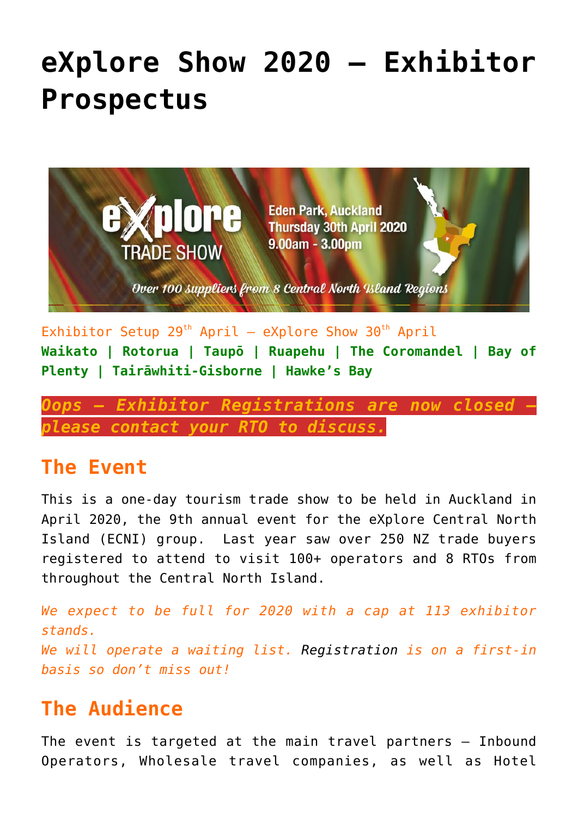# **[eXplore Show 2020 – Exhibitor](https://www.explorecentralnorthislandnz.com/explore-show-2020-exhibitor-prospectus/) [Prospectus](https://www.explorecentralnorthislandnz.com/explore-show-2020-exhibitor-prospectus/)**



Exhibitor Setup  $29^{th}$  April – eXplore Show  $30^{th}$  April **Waikato | Rotorua | Taupō | Ruapehu | The Coromandel | Bay of Plenty | Tairāwhiti-Gisborne | Hawke's Bay**

*Oops – Exhibitor Registrations are now closed – please contact your RTO to discuss.*

#### **The Event**

This is a one-day tourism trade show to be held in Auckland in April 2020, the 9th annual event for the eXplore Central North Island (ECNI) group. Last year saw over 250 NZ trade buyers registered to attend to visit 100+ operators and 8 RTOs from throughout the Central North Island.

*We expect to be full for 2020 with a cap at 113 exhibitor stands. We will operate a waiting list. [Registration](https://www.explorecentralnorthislandnz.com/explore-show-2020-exhibitor-rego/) is on a first-in basis so don't miss out!*

# **The Audience**

The event is targeted at the main travel partners – Inbound Operators, Wholesale travel companies, as well as Hotel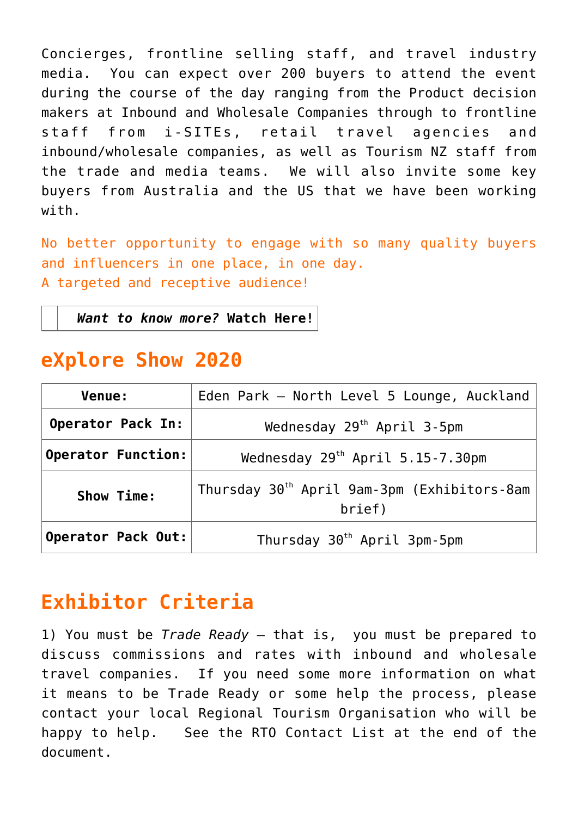Concierges, frontline selling staff, and travel industry media. You can expect over 200 buyers to attend the event during the course of the day ranging from the Product decision makers at Inbound and Wholesale Companies through to frontline staff from i-SITEs, retail travel agencies and inbound/wholesale companies, as well as Tourism NZ staff from the trade and media teams. We will also invite some key buyers from Australia and the US that we have been working with.

No better opportunity to engage with so many quality buyers and influencers in one place, in one day. A targeted and receptive audience!

*Want to know more?* **[Watch Here!](https://www.explorecentralnorthislandnz.com/wp-content/uploads/2019/11/eXplore-Show-2018.mp4)**

#### **eXplore Show 2020**

| Venue:                    | Eden Park - North Level 5 Lounge, Auckland                        |  |
|---------------------------|-------------------------------------------------------------------|--|
| Operator Pack In:         | Wednesday $29th$ April 3-5pm                                      |  |
| <b>Operator Function:</b> | Wednesday 29 <sup>th</sup> April 5.15-7.30pm                      |  |
| Show Time:                | Thursday 30 <sup>th</sup> April 9am-3pm (Exhibitors-8am<br>brief) |  |
| Operator Pack Out:        | Thursday 30 <sup>th</sup> April 3pm-5pm                           |  |

# **Exhibitor Criteria**

1) You must be *Trade Ready* – that is, you must be prepared to discuss commissions and rates with inbound and wholesale travel companies. If you need some more information on what it means to be Trade Ready or some help the process, please contact your local Regional Tourism Organisation who will be happy to help. See the RTO Contact List at the end of the document.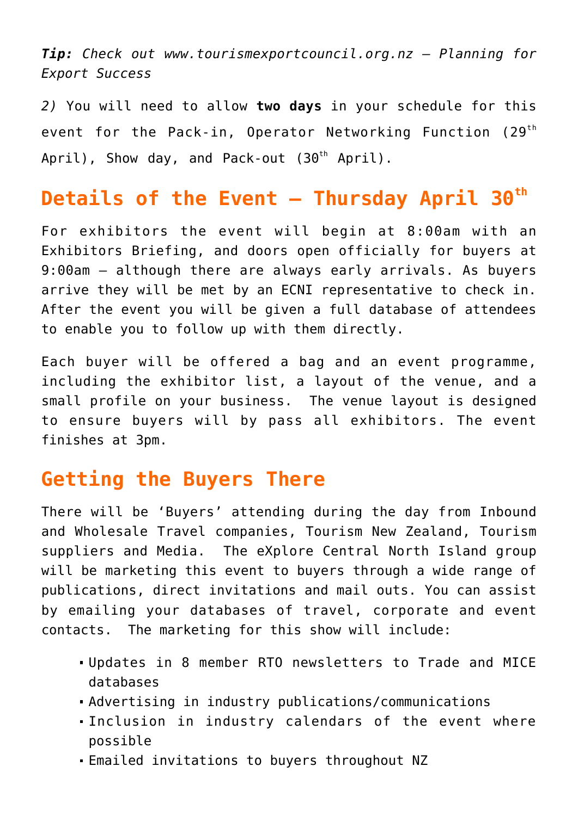*Tip: Check out [www.tourismexportcouncil.org.nz](http://www.tourismexportcouncil.org.nz) – Planning for Export Success*

*2)* You will need to allow **two days** in your schedule for this event for the Pack-in, Operator Networking Function (29<sup>th</sup> April), Show day, and Pack-out (30<sup>th</sup> April).

## **Details of the Event – Thursday April 30th**

For exhibitors the event will begin at 8:00am with an Exhibitors Briefing, and doors open officially for buyers at 9:00am – although there are always early arrivals. As buyers arrive they will be met by an ECNI representative to check in. After the event you will be given a full database of attendees to enable you to follow up with them directly.

Each buyer will be offered a bag and an event programme, including the exhibitor list, a layout of the venue, and a small profile on your business. The venue layout is designed to ensure buyers will by pass all exhibitors. The event finishes at 3pm.

## **Getting the Buyers There**

There will be 'Buyers' attending during the day from Inbound and Wholesale Travel companies, Tourism New Zealand, Tourism suppliers and Media. The eXplore Central North Island group will be marketing this event to buyers through a wide range of publications, direct invitations and mail outs. You can assist by emailing your databases of travel, corporate and event contacts. The marketing for this show will include:

- Updates in 8 member RTO newsletters to Trade and MICE databases
- Advertising in industry publications/communications
- Inclusion in industry calendars of the event where possible
- Emailed invitations to buyers throughout NZ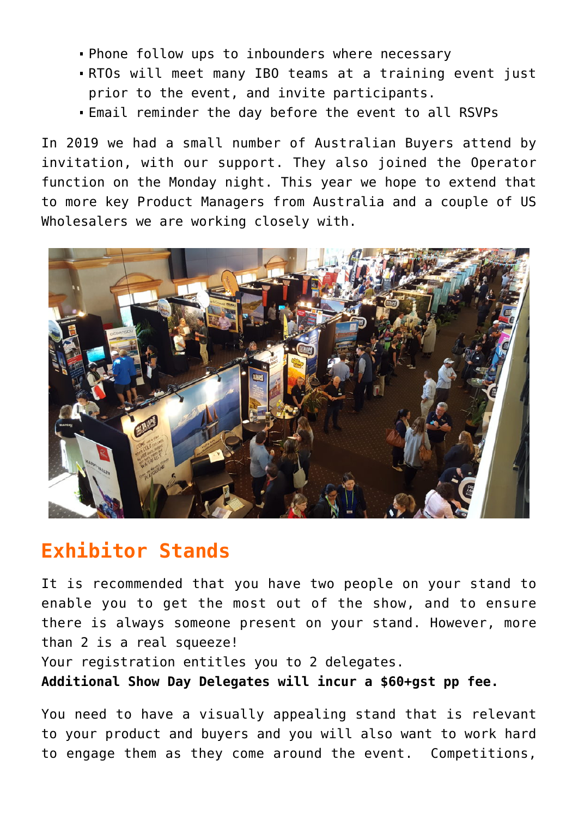- Phone follow ups to inbounders where necessary
- RTOs will meet many IBO teams at a training event just prior to the event, and invite participants.
- Email reminder the day before the event to all RSVPs

In 2019 we had a small number of Australian Buyers attend by invitation, with our support. They also joined the Operator function on the Monday night. This year we hope to extend that to more key Product Managers from Australia and a couple of US Wholesalers we are working closely with.



#### **Exhibitor Stands**

It is recommended that you have two people on your stand to enable you to get the most out of the show, and to ensure there is always someone present on your stand. However, more than 2 is a real squeeze!

Your registration entitles you to 2 delegates.

**Additional Show Day Delegates will incur a \$60+gst pp fee.** 

You need to have a visually appealing stand that is relevant to your product and buyers and you will also want to work hard to engage them as they come around the event. Competitions,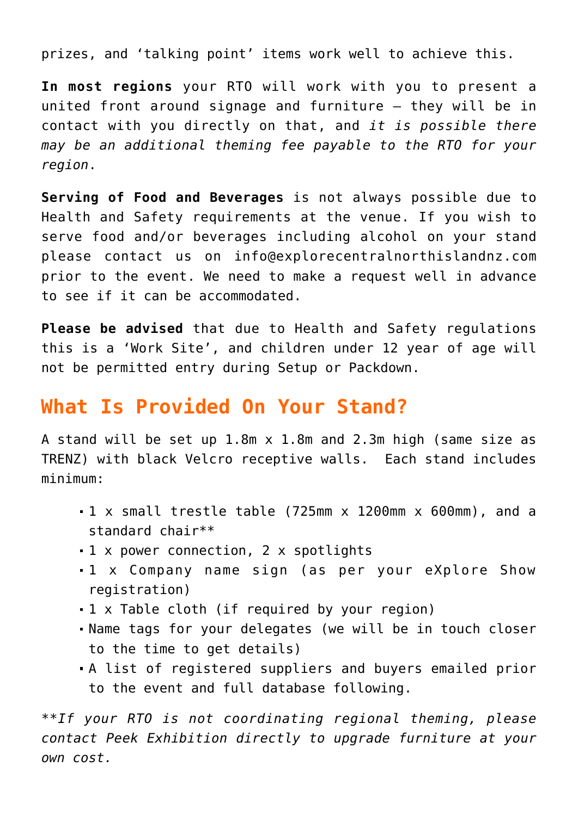prizes, and 'talking point' items work well to achieve this.

**In most regions** your RTO will work with you to present a united front around signage and furniture – they will be in contact with you directly on that, and *it is possible there may be an additional theming fee payable to the RTO for your region*.

**Serving of Food and Beverages** is not always possible due to Health and Safety requirements at the venue. If you wish to serve food and/or beverages including alcohol on your stand please contact us on [info@explorecentralnorthislandnz.com](mailto:info@explorecentralnorthislandnz.com) prior to the event. We need to make a request well in advance to see if it can be accommodated.

**Please be advised** that due to Health and Safety regulations this is a 'Work Site', and children under 12 year of age will not be permitted entry during Setup or Packdown.

#### **What Is Provided On Your Stand?**

A stand will be set up 1.8m x 1.8m and 2.3m high (same size as TRENZ) with black Velcro receptive walls. Each stand includes minimum:

- 1 x small trestle table (725mm x 1200mm x 600mm), and a standard chair\*\*
- 1 x power connection, 2 x spotlights
- 1 x Company name sign (as per your eXplore Show registration)
- 1 x Table cloth (if required by your region)
- Name tags for your delegates (we will be in touch closer to the time to get details)
- A list of registered suppliers and buyers emailed prior to the event and full database following.

*\*\*If your RTO is not coordinating regional theming, please contact Peek Exhibition directly to upgrade furniture at your own cost.*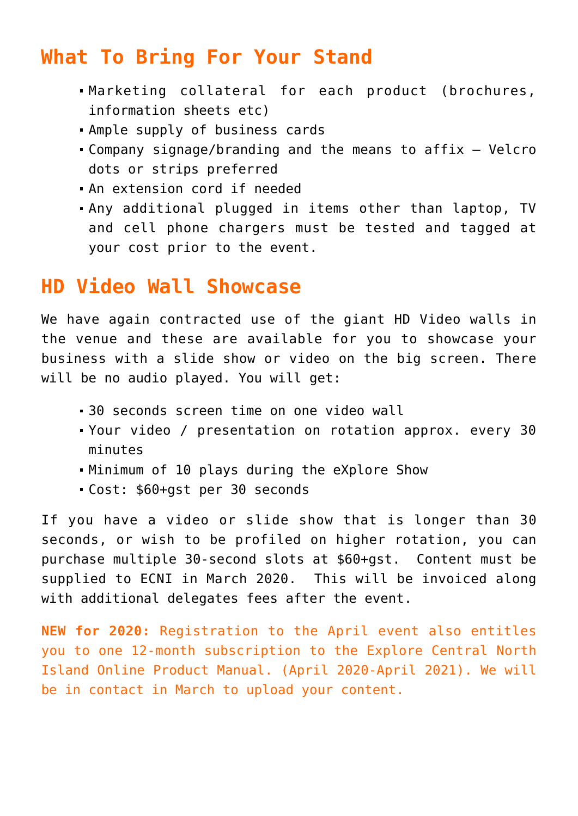#### **What To Bring For Your Stand**

- Marketing collateral for each product (brochures, information sheets etc)
- Ample supply of business cards
- Company signage/branding and the means to affix Velcro dots or strips preferred
- An extension cord if needed
- Any additional plugged in items other than laptop, TV and cell phone chargers must be tested and tagged at your cost prior to the event.

#### **HD Video Wall Showcase**

We have again contracted use of the giant HD Video walls in the venue and these are available for you to showcase your business with a slide show or video on the big screen. There will be no audio played. You will get:

- 30 seconds screen time on one video wall
- Your video / presentation on rotation approx. every 30 minutes
- Minimum of 10 plays during the eXplore Show
- Cost: \$60+gst per 30 seconds

If you have a video or slide show that is longer than 30 seconds, or wish to be profiled on higher rotation, you can purchase multiple 30-second slots at \$60+gst. Content must be supplied to ECNI in March 2020. This will be invoiced along with additional delegates fees after the event.

**NEW for 2020:** Registration to the April event also entitles you to one 12-month subscription to the Explore Central North Island Online Product Manual. (April 2020-April 2021). We will be in contact in March to upload your content.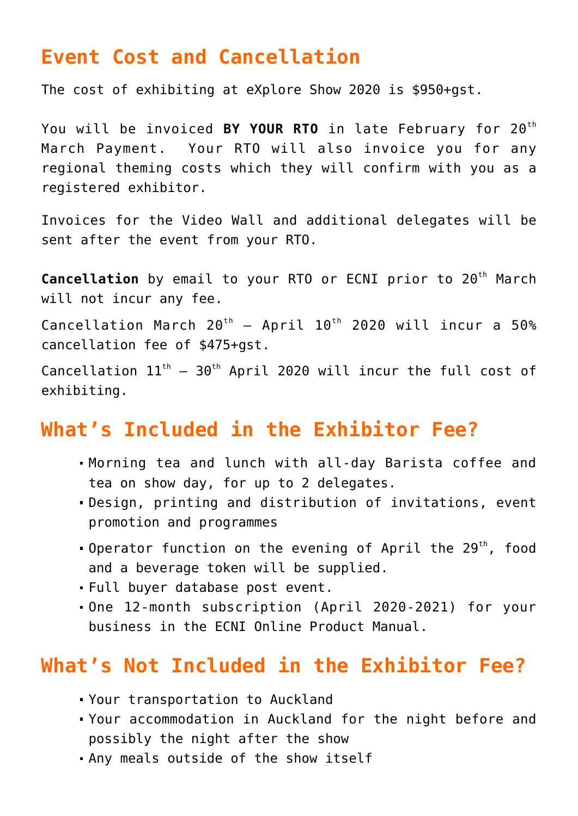#### **Event Cost and Cancellation**

The cost of exhibiting at eXplore Show 2020 is \$950+gst.

You will be invoiced **BY YOUR RTO** in late February for 20<sup>th</sup> March Payment. Your RTO will also invoice you for any regional theming costs which they will confirm with you as a registered exhibitor.

Invoices for the Video Wall and additional delegates will be sent after the event from your RTO.

**Cancellation** by email to your RTO or ECNI prior to 20<sup>th</sup> March will not incur any fee.

Cancellation March  $20^{th}$  – April  $10^{th}$  2020 will incur a 50% cancellation fee of \$475+gst.

Cancellation  $11^{th}$  – 30<sup>th</sup> April 2020 will incur the full cost of exhibiting.

#### **What's Included in the Exhibitor Fee?**

- Morning tea and lunch with all-day Barista coffee and tea on show day, for up to 2 delegates.
- Design, printing and distribution of invitations, event promotion and programmes
- **.** Operator function on the evening of April the 29<sup>th</sup>, food and a beverage token will be supplied.
- Full buyer database post event.
- One 12-month subscription (April 2020-2021) for your business in the ECNI Online Product Manual.

#### **What's Not Included in the Exhibitor Fee?**

- Your transportation to Auckland
- Your accommodation in Auckland for the night before and possibly the night after the show
- Any meals outside of the show itself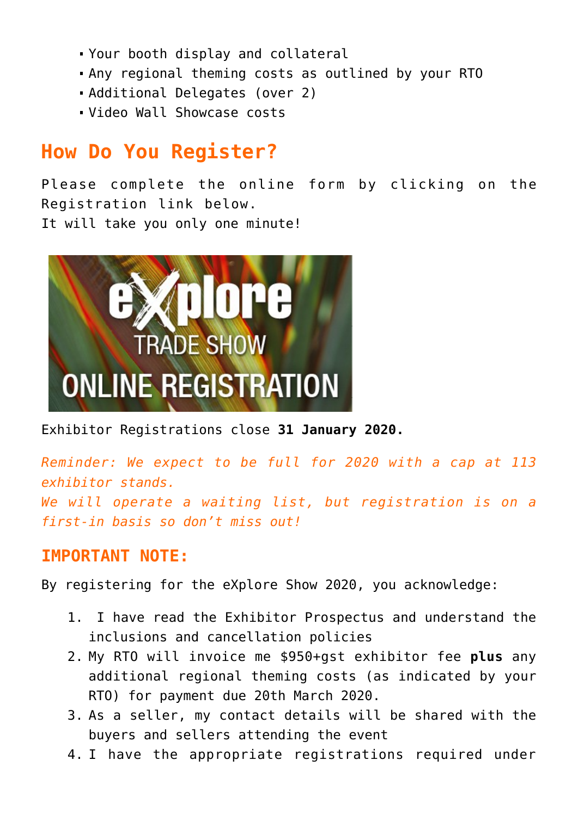- Your booth display and collateral
- Any regional theming costs as outlined by your RTO
- Additional Delegates (over 2)
- Video Wall Showcase costs

# **How Do You Register?**

Please complete the online form by clicking on the [Registration link](https://www.explorecentralnorthislandnz.com/explore-show-2020-exhibitor-rego/) below. It will take you only one minute!



Exhibitor Registrations close **31 January 2020.**

*Reminder: We expect to be full for 2020 with a cap at 113 exhibitor stands. We will operate a waiting list, but registration is on a first-in basis so don't miss out!*

#### **IMPORTANT NOTE:**

By registering for the eXplore Show 2020, you acknowledge:

- 1. I have read the Exhibitor Prospectus and understand the inclusions and cancellation policies
- 2. My RTO will invoice me \$950+gst exhibitor fee **plus** any additional regional theming costs (as indicated by your RTO) for payment due 20th March 2020.
- 3. As a seller, my contact details will be shared with the buyers and sellers attending the event
- 4. I have the appropriate registrations required under